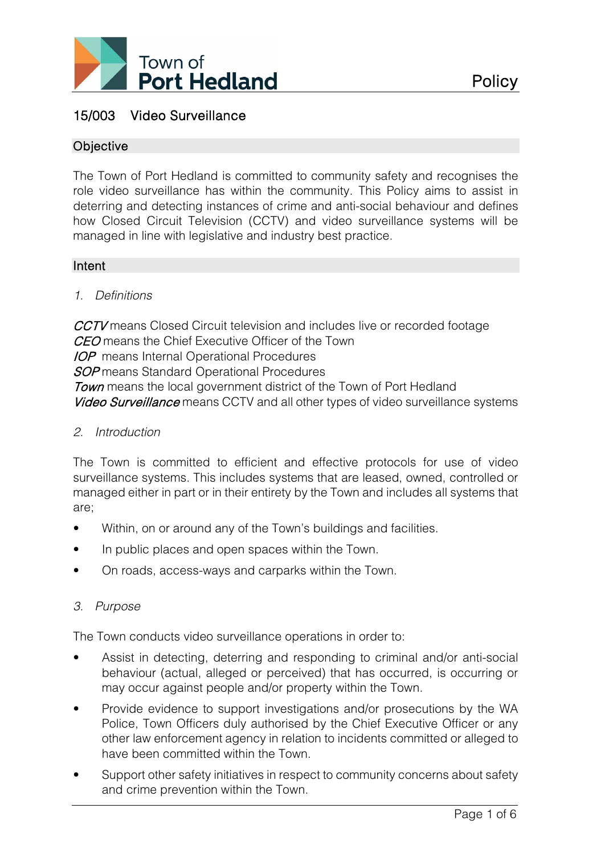

# 15/003 Video Surveillance

## **Objective**

The Town of Port Hedland is committed to community safety and recognises the role video surveillance has within the community. This Policy aims to assist in deterring and detecting instances of crime and anti-social behaviour and defines how Closed Circuit Television (CCTV) and video surveillance systems will be managed in line with legislative and industry best practice.

## Intent

### *1. Definitions*

CCTV means Closed Circuit television and includes live or recorded footage CEO means the Chief Executive Officer of the Town **IOP** means Internal Operational Procedures **SOP** means Standard Operational Procedures **Town** means the local government district of the Town of Port Hedland Video Surveillance means CCTV and all other types of video surveillance systems

*2. Introduction*

The Town is committed to efficient and effective protocols for use of video surveillance systems. This includes systems that are leased, owned, controlled or managed either in part or in their entirety by the Town and includes all systems that are;

- Within, on or around any of the Town's buildings and facilities.
- In public places and open spaces within the Town.
- On roads, access-ways and carparks within the Town.

### *3. Purpose*

The Town conducts video surveillance operations in order to:

- Assist in detecting, deterring and responding to criminal and/or anti-social behaviour (actual, alleged or perceived) that has occurred, is occurring or may occur against people and/or property within the Town.
- Provide evidence to support investigations and/or prosecutions by the WA Police, Town Officers duly authorised by the Chief Executive Officer or any other law enforcement agency in relation to incidents committed or alleged to have been committed within the Town.
- Support other safety initiatives in respect to community concerns about safety and crime prevention within the Town.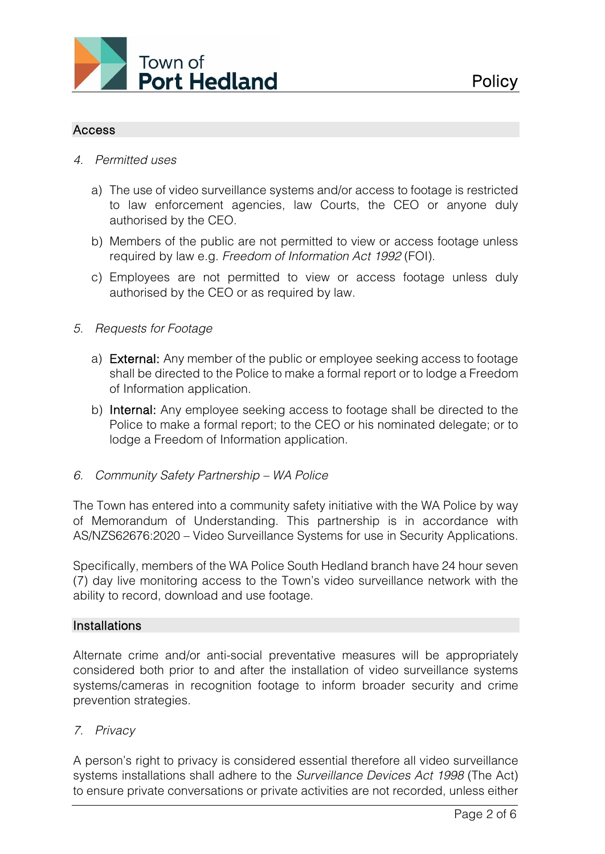

# Access

- *4. Permitted uses*
	- a) The use of video surveillance systems and/or access to footage is restricted to law enforcement agencies, law Courts, the CEO or anyone duly authorised by the CEO.
	- b) Members of the public are not permitted to view or access footage unless required by law e.g. *Freedom of Information Act 1992* (FOI).
	- c) Employees are not permitted to view or access footage unless duly authorised by the CEO or as required by law.
- *5. Requests for Footage*
	- a) External: Any member of the public or employee seeking access to footage shall be directed to the Police to make a formal report or to lodge a Freedom of Information application.
	- b) Internal: Any employee seeking access to footage shall be directed to the Police to make a formal report; to the CEO or his nominated delegate; or to lodge a Freedom of Information application.
- *6. Community Safety Partnership – WA Police*

The Town has entered into a community safety initiative with the WA Police by way of Memorandum of Understanding. This partnership is in accordance with AS/NZS62676:2020 – Video Surveillance Systems for use in Security Applications.

Specifically, members of the WA Police South Hedland branch have 24 hour seven (7) day live monitoring access to the Town's video surveillance network with the ability to record, download and use footage.

### **Installations**

Alternate crime and/or anti-social preventative measures will be appropriately considered both prior to and after the installation of video surveillance systems systems/cameras in recognition footage to inform broader security and crime prevention strategies.

## *7. Privacy*

A person's right to privacy is considered essential therefore all video surveillance systems installations shall adhere to the *Surveillance Devices Act 1998* (The Act) to ensure private conversations or private activities are not recorded, unless either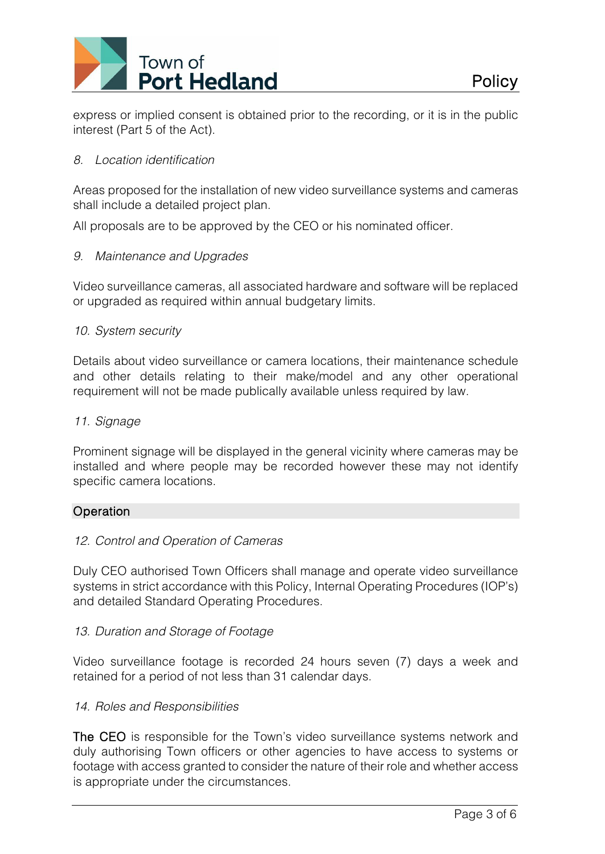

express or implied consent is obtained prior to the recording, or it is in the public interest (Part 5 of the Act).

## *8. Location identification*

Areas proposed for the installation of new video surveillance systems and cameras shall include a detailed project plan.

All proposals are to be approved by the CEO or his nominated officer.

## *9. Maintenance and Upgrades*

Video surveillance cameras, all associated hardware and software will be replaced or upgraded as required within annual budgetary limits.

## *10. System security*

Details about video surveillance or camera locations, their maintenance schedule and other details relating to their make/model and any other operational requirement will not be made publically available unless required by law.

## *11. Signage*

Prominent signage will be displayed in the general vicinity where cameras may be installed and where people may be recorded however these may not identify specific camera locations.

### **Operation**

### *12. Control and Operation of Cameras*

Duly CEO authorised Town Officers shall manage and operate video surveillance systems in strict accordance with this Policy, Internal Operating Procedures (IOP's) and detailed Standard Operating Procedures.

### *13. Duration and Storage of Footage*

Video surveillance footage is recorded 24 hours seven (7) days a week and retained for a period of not less than 31 calendar days.

### *14. Roles and Responsibilities*

The CEO is responsible for the Town's video surveillance systems network and duly authorising Town officers or other agencies to have access to systems or footage with access granted to consider the nature of their role and whether access is appropriate under the circumstances.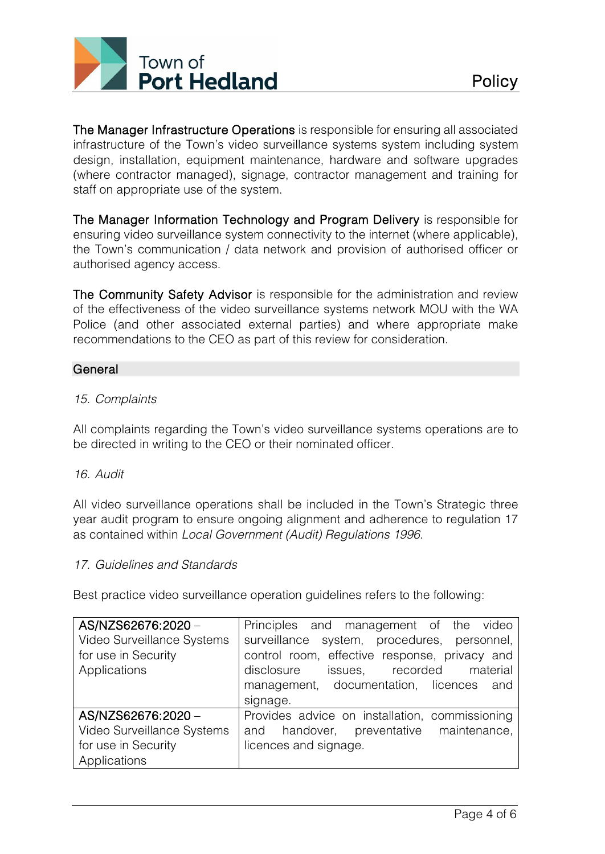

The Manager Infrastructure Operations is responsible for ensuring all associated infrastructure of the Town's video surveillance systems system including system design, installation, equipment maintenance, hardware and software upgrades (where contractor managed), signage, contractor management and training for staff on appropriate use of the system.

The Manager Information Technology and Program Delivery is responsible for ensuring video surveillance system connectivity to the internet (where applicable), the Town's communication / data network and provision of authorised officer or authorised agency access.

The Community Safety Advisor is responsible for the administration and review of the effectiveness of the video surveillance systems network MOU with the WA Police (and other associated external parties) and where appropriate make recommendations to the CEO as part of this review for consideration.

## **General**

## *15. Complaints*

All complaints regarding the Town's video surveillance systems operations are to be directed in writing to the CEO or their nominated officer.

### *16. Audit*

All video surveillance operations shall be included in the Town's Strategic three year audit program to ensure ongoing alignment and adherence to regulation 17 as contained within *Local Government (Audit) Regulations 1996*.

### *17. Guidelines and Standards*

Best practice video surveillance operation guidelines refers to the following:

| AS/NZS62676:2020 -         | Principles and management of the video         |
|----------------------------|------------------------------------------------|
| Video Surveillance Systems | surveillance system, procedures, personnel,    |
| for use in Security        | control room, effective response, privacy and  |
| Applications               | recorded<br>disclosure<br>issues,<br>material  |
|                            | management, documentation, licences and        |
|                            | signage.                                       |
| AS/NZS62676:2020 -         | Provides advice on installation, commissioning |
| Video Surveillance Systems | and handover, preventative maintenance,        |
| for use in Security        | licences and signage.                          |
| Applications               |                                                |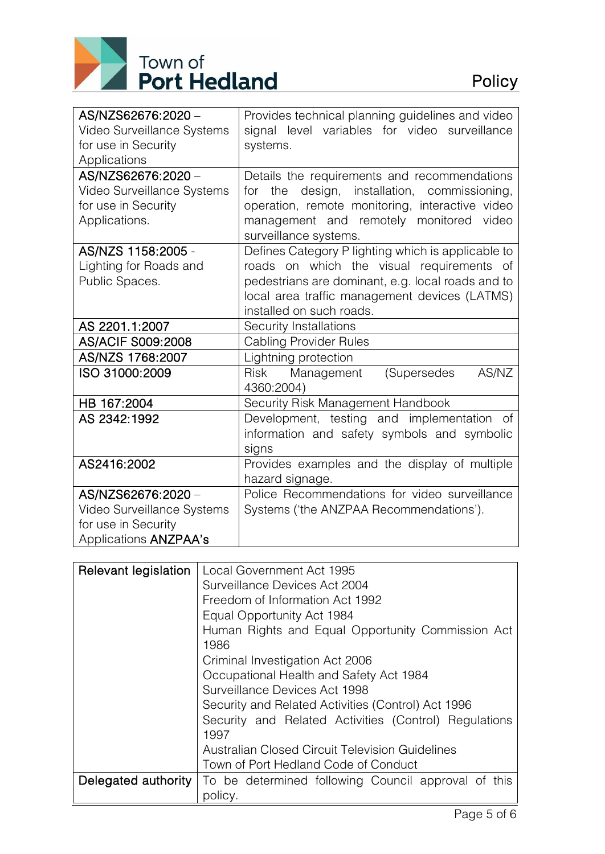

| AS/NZS62676:2020 -           | Provides technical planning guidelines and video   |  |  |  |
|------------------------------|----------------------------------------------------|--|--|--|
| Video Surveillance Systems   | signal level variables for video surveillance      |  |  |  |
| for use in Security          | systems.                                           |  |  |  |
| Applications                 |                                                    |  |  |  |
| AS/NZS62676:2020 -           | Details the requirements and recommendations       |  |  |  |
| Video Surveillance Systems   | design, installation, commissioning,<br>the<br>for |  |  |  |
| for use in Security          | operation, remote monitoring, interactive video    |  |  |  |
| Applications.                | management and remotely monitored<br>video         |  |  |  |
|                              | surveillance systems.                              |  |  |  |
| AS/NZS 1158:2005 -           | Defines Category P lighting which is applicable to |  |  |  |
| Lighting for Roads and       | roads on which the visual requirements of          |  |  |  |
| Public Spaces.               | pedestrians are dominant, e.g. local roads and to  |  |  |  |
|                              | local area traffic management devices (LATMS)      |  |  |  |
|                              | installed on such roads.                           |  |  |  |
| AS 2201.1:2007               | Security Installations                             |  |  |  |
| AS/ACIF S009:2008            | <b>Cabling Provider Rules</b>                      |  |  |  |
| AS/NZS 1768:2007             | Lightning protection                               |  |  |  |
| ISO 31000:2009               | Management<br>(Supersedes<br>AS/NZ<br><b>Risk</b>  |  |  |  |
|                              | 4360:2004)                                         |  |  |  |
| HB 167:2004                  | Security Risk Management Handbook                  |  |  |  |
| AS 2342:1992                 | Development, testing and implementation of         |  |  |  |
|                              | information and safety symbols and symbolic        |  |  |  |
|                              | signs                                              |  |  |  |
| AS2416:2002                  | Provides examples and the display of multiple      |  |  |  |
|                              | hazard signage.                                    |  |  |  |
| AS/NZS62676:2020 -           | Police Recommendations for video surveillance      |  |  |  |
| Video Surveillance Systems   | Systems ('the ANZPAA Recommendations').            |  |  |  |
| for use in Security          |                                                    |  |  |  |
| Applications <b>ANZPAA's</b> |                                                    |  |  |  |

| Relevant legislation | Local Government Act 1995                             |  |  |  |
|----------------------|-------------------------------------------------------|--|--|--|
|                      |                                                       |  |  |  |
|                      | Surveillance Devices Act 2004                         |  |  |  |
|                      | Freedom of Information Act 1992                       |  |  |  |
|                      | Equal Opportunity Act 1984                            |  |  |  |
|                      | Human Rights and Equal Opportunity Commission Act     |  |  |  |
|                      | 1986                                                  |  |  |  |
|                      | Criminal Investigation Act 2006                       |  |  |  |
|                      | Occupational Health and Safety Act 1984               |  |  |  |
|                      | Surveillance Devices Act 1998                         |  |  |  |
|                      | Security and Related Activities (Control) Act 1996    |  |  |  |
|                      | Security and Related Activities (Control) Regulations |  |  |  |
|                      | 1997                                                  |  |  |  |
|                      | Australian Closed Circuit Television Guidelines       |  |  |  |
|                      | Town of Port Hedland Code of Conduct                  |  |  |  |
| Delegated authority  | To be determined following Council approval of this   |  |  |  |
|                      | policy.                                               |  |  |  |